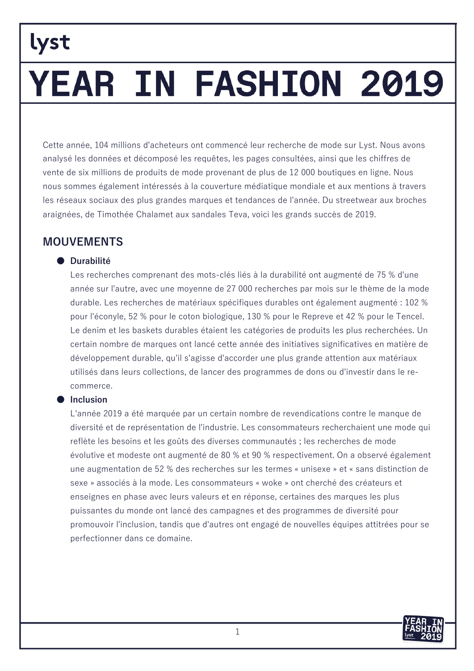# YEAR IN FASHION 2019

Cette année, 104 millions d'acheteurs ont commencé leur recherche de mode sur Lyst. Nous avons analysé les données et décomposé les requêtes, les pages consultées, ainsi que les chiffres de vente de six millions de produits de mode provenant de plus de 12 000 boutiques en ligne. Nous nous sommes également intéressés à la couverture médiatique mondiale et aux mentions à travers les réseaux sociaux des plus grandes marques et tendances de l'année. Du streetwear aux broches araignées, de Timothée Chalamet aux sandales Teva, voici les grands succès de 2019.

### **MOUVEMENTS**

#### • Durabilité

Les recherches comprenant des mots-clés liés à la durabilité ont augmenté de 75 % d'une année sur l'autre, avec une moyenne de 27 000 recherches par mois sur le thème de la mode durable. Les recherches de matériaux spécifiques durables ont également augmenté : 102 % pour l'éconyle, 52 % pour le coton biologique, 130 % pour le Repreve et 42 % pour le Tencel. Le denim et les baskets durables étaient les catégories de produits les plus recherchées. Un certain nombre de marques ont lancé cette année des initiatives significatives en matière de développement durable, qu'il s'agisse d'accorder une plus grande attention aux matériaux utilisés dans leurs collections, de lancer des programmes de dons ou d'investir dans le recommerce.

#### lnclusion

L'année 2019 a été marquée par un certain nombre de revendications contre le manque de diversité et de représentation de l'industrie. Les consommateurs recherchaient une mode qui reflète les besoins et les goûts des diverses communautés ; les recherches de mode évolutive et modeste ont augmenté de 80 % et 90 % respectivement. On a observé également une augmentation de 52 % des recherches sur les termes « unisexe » et « sans distinction de sexe » associés à la mode. Les consommateurs « woke » ont cherché des créateurs et enseignes en phase avec leurs valeurs et en réponse, certaines des marques les plus puissantes du monde ont lancé des campagnes et des programmes de diversité pour promouvoir l'inclusion, tandis que d'autres ont engagé de nouvelles équipes attitrées pour se perfectionner dans ce domaine.

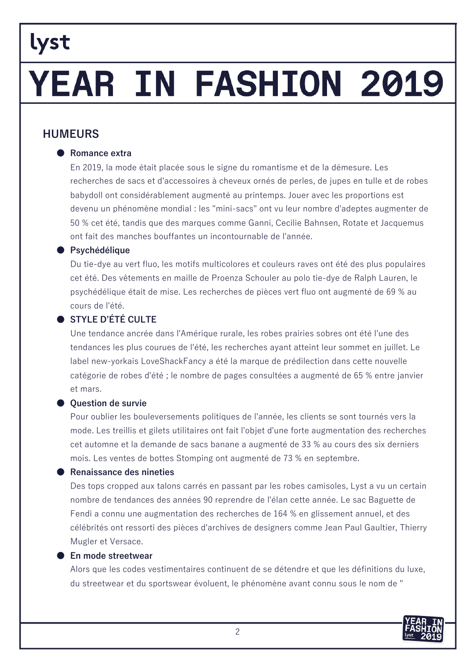# YEAR IN FASHION 2019

### **HUMEURS**

#### ● Romance extra

En 2019, la mode était placée sous le signe du romantisme et de la démesure. Les recherches de sacs et d'accessoires à cheveux ornés de perles, de jupes en tulle et de robes babydoll ont considérablement augmenté au printemps. Jouer avec les proportions est devenu un phénomène mondial : les "mini-sacs" ont vu leur nombre d'adeptes augmenter de 50 % cet été, tandis que des marques comme Ganni, Cecilie Bahnsen, Rotate et Jacquemus ont fait des manches bouffantes un incontournable de l'année.

#### ● Psychédélique

Du tie-dye au vert fluo, les motifs multicolores et couleurs raves ont été des plus populaires cet été. Des vêtements en maille de Proenza Schouler au polo tie-dye de Ralph Lauren, le psychédélique était de mise. Les recherches de pièces vert fluo ont augmenté de 69 % au cours de l'été.

#### $\bullet$  STYLE D'ÉTÉ CULTE

Une tendance ancrée dans l'Amérique rurale, les robes prairies sobres ont été l'une des tendances les plus courues de l'été, les recherches ayant atteint leur sommet en juillet. Le label new-yorkais LoveShackFancy a été la marque de prédilection dans cette nouvelle catégorie de robes d'été : le nombre de pages consultées a augmenté de 65 % entre janvier et mars.

#### ● Question de survie

Pour oublier les bouleversements politiques de l'année, les clients se sont tournés vers la mode. Les treillis et gilets utilitaires ont fait l'objet d'une forte augmentation des recherches cet automne et la demande de sacs banane a augmenté de 33 % au cours des six derniers mois. Les ventes de bottes Stomping ont augmenté de 73 % en septembre.

#### ● Renaissance des nineties

Des tops cropped aux talons carrés en passant par les robes camisoles, Lyst a vu un certain nombre de tendances des années 90 reprendre de l'élan cette année. Le sac Baguette de Fendi a connu une augmentation des recherches de 164 % en glissement annuel, et des célébrités ont ressorti des pièces d'archives de designers comme Jean Paul Gaultier, Thierry Mugler et Versace.

#### ● En mode streetwear

Alors que les codes vestimentaires continuent de se détendre et que les définitions du luxe, du streetwear et du sportswear évoluent, le phénomène avant connu sous le nom de "

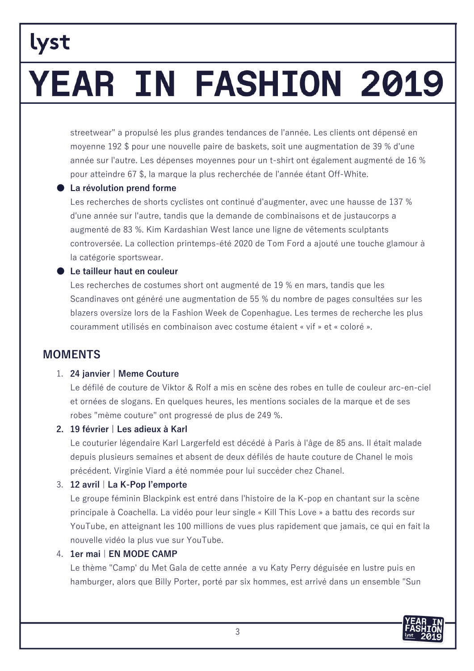# lyst YEAR IN FASHION 2019

streetwear" a propulsé les plus grandes tendances de l'année. Les clients ont dépensé en moyenne 192 \$ pour une nouvelle paire de baskets, soit une augmentation de 39 % d'une année sur l'autre. Les dépenses moyennes pour un t-shirt ont également augmenté de 16 % pour atteindre 67 \$, la marque la plus recherchée de l'année étant Off-White.

#### La révolution prend forme

Les recherches de shorts cyclistes ont continué d'augmenter, avec une hausse de 137 % d'une année sur l'autre, tandis que la demande de combinaisons et de justaucorps a augmenté de 83 %. Kim Kardashian West lance une ligne de vêtements sculptants controversée. La collection printemps-été 2020 de Tom Ford a ajouté une touche glamour à la catégorie sportswear.

#### Le tailleur haut en couleur

Les recherches de costumes short ont augmenté de 19 % en mars, tandis que les Scandinaves ont généré une augmentation de 55 % du nombre de pages consultées sur les blazers oversize lors de la Fashion Week de Copenhague. Les termes de recherche les plus couramment utilisés en combinaison avec costume étaient « vif » et « coloré ».

### **MOMENTS**

#### 1. 24 janvier | Meme Couture

Le défilé de couture de Viktor & Rolf a mis en scène des robes en tulle de couleur arc-en-ciel et ornées de slogans. En quelques heures, les mentions sociales de la marque et de ses robes "mème couture" ont progressé de plus de 249 %.

#### 2. 19 février | Les adieux à Karl

Le couturier légendaire Karl Largerfeld est décédé à Paris à l'âge de 85 ans. Il était malade depuis plusieurs semaines et absent de deux défilés de haute couture de Chanel le mois précédent. Virginie Viard a été nommée pour lui succéder chez Chanel.

#### 3. 12 avril | La K-Pop l'emporte

Le groupe féminin Blackpink est entré dans l'histoire de la K-pop en chantant sur la scène principale à Coachella. La vidéo pour leur single « Kill This Love » a battu des records sur YouTube, en atteignant les 100 millions de vues plus rapidement que jamais, ce qui en fait la nouvelle vidéo la plus vue sur YouTube.

#### 4. 1er mai | EN MODE CAMP

Le thème "Camp' du Met Gala de cette année a vu Katy Perry déguisée en lustre puis en hamburger, alors que Billy Porter, porté par six hommes, est arrivé dans un ensemble "Sun

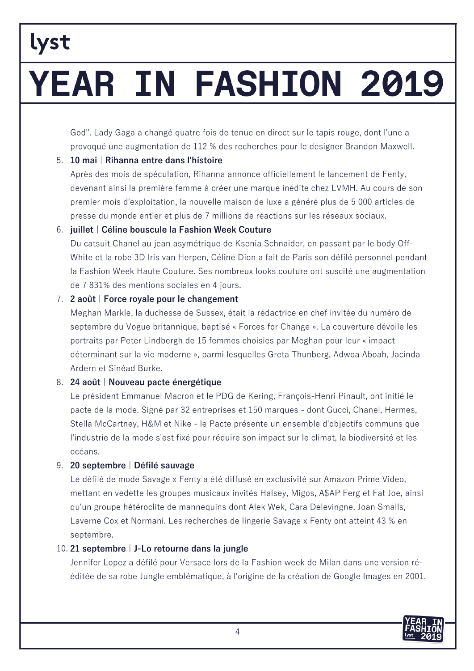# lyst YEAR IN FASHION 2019

God". Lady Gaga a changé quatre fois de tenue en direct sur le tapis rouge, dont l'une a provoqué une augmentation de 112 % des recherches pour le designer Brandon Maxwell.

#### 5. 10 mai | Rihanna entre dans l'histoire

Après des mois de spéculation, Rihanna annonce officiellement le lancement de Fenty, devenant ainsi la première femme à créer une marque inédite chez LVMH. Au cours de son premier mois d'exploitation, la nouvelle maison de luxe a généré plus de 5 000 articles de presse du monde entier et plus de 7 millions de réactions sur les réseaux sociaux.

#### 6. juillet | Céline bouscule la Fashion Week Couture

Du catsuit Chanel au jean asymétrique de Ksenia Schnaider, en passant par le body Off-White et la robe 3D Iris van Herpen, Céline Dion a fait de Paris son défilé personnel pendant la Fashion Week Haute Couture. Ses nombreux looks couture ont suscité une augmentation de 7 831% des mentions sociales en 4 jours.

#### 7. 2 août | Force royale pour le changement

Meghan Markle, la duchesse de Sussex, était la rédactrice en chef invitée du numéro de septembre du Vogue britannique, baptisé « Forces for Change ». La couverture dévoile les portraits par Peter Lindbergh de 15 femmes choisies par Meghan pour leur « impact déterminant sur la vie moderne », parmi lesquelles Greta Thunberg, Adwoa Aboah, Jacinda Ardern et Sinéad Burke.

#### 8. 24 août | Nouveau pacte énergétique

Le président Emmanuel Macron et le PDG de Kering, François-Henri Pinault, ont initié le pacte de la mode. Signé par 32 entreprises et 150 marques - dont Gucci, Chanel, Hermes, Stella McCartney, H&M et Nike - le Pacte présente un ensemble d'objectifs communs que l'industrie de la mode s'est fixé pour réduire son impact sur le climat, la biodiversité et les océans.

#### 9. 20 septembre | Défilé sauvage

Le défilé de mode Savage x Fenty a été diffusé en exclusivité sur Amazon Prime Video, mettant en vedette les groupes musicaux invités Halsey, Migos, A\$AP Ferg et Fat Joe, ainsi qu'un groupe hétéroclite de mannequins dont Alek Wek, Cara Delevingne, Joan Smalls, Laverne Cox et Normani. Les recherches de lingerie Savage x Fenty ont atteint 43 % en septembre.

#### 10. 21 septembre | J-Lo retourne dans la jungle

Jennifer Lopez a défilé pour Versace lors de la Fashion week de Milan dans une version rééditée de sa robe Jungle emblématique, à l'origine de la création de Google Images en 2001.

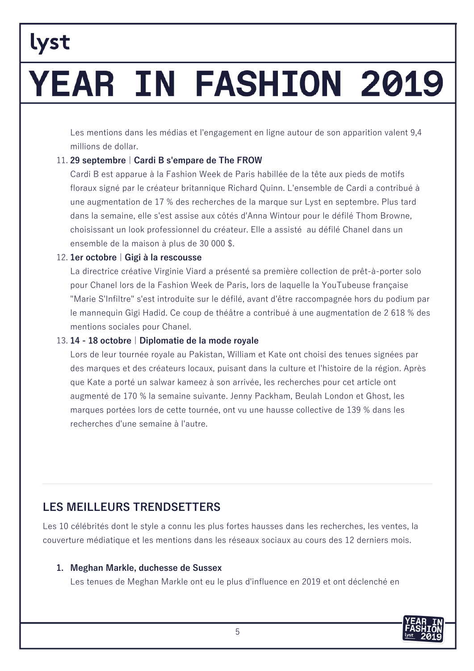# YEAR IN FASHION 2019

Les mentions dans les médias et l'engagement en ligne autour de son apparition valent 9,4 millions de dollar.

#### 11. 29 septembre | Cardi B s'empare de The FROW

Cardi B est apparue à la Fashion Week de Paris habillée de la tête aux pieds de motifs floraux signé par le créateur britannique Richard Quinn. L'ensemble de Cardi a contribué à une augmentation de 17 % des recherches de la marque sur Lyst en septembre. Plus tard dans la semaine, elle s'est assise aux côtés d'Anna Wintour pour le défilé Thom Browne, choisissant un look professionnel du créateur. Elle a assisté au défilé Chanel dans un ensemble de la maison à plus de 30 000 \$.

#### 12. 1er octobre | Gigi à la rescousse

La directrice créative Virginie Viard a présenté sa première collection de prêt-à-porter solo pour Chanel lors de la Fashion Week de Paris, lors de laquelle la YouTubeuse française "Marie S'Infiltre" s'est introduite sur le défilé, avant d'être raccompagnée hors du podium par le mannequin Gigi Hadid. Ce coup de théâtre a contribué à une augmentation de 2 618 % des mentions sociales pour Chanel.

#### 13.14 - 18 octobre | Diplomatie de la mode royale

Lors de leur tournée royale au Pakistan, William et Kate ont choisi des tenues signées par des marques et des créateurs locaux, puisant dans la culture et l'histoire de la région. Après que Kate a porté un salwar kameez à son arrivée, les recherches pour cet article ont augmenté de 170 % la semaine suivante. Jenny Packham, Beulah London et Ghost, les marques portées lors de cette tournée, ont vu une hausse collective de 139 % dans les recherches d'une semaine à l'autre.

### **LES MEILLEURS TRENDSETTERS**

Les 10 célébrités dont le style a connu les plus fortes hausses dans les recherches, les ventes, la couverture médiatique et les mentions dans les réseaux sociaux au cours des 12 derniers mois.

#### 1. Meghan Markle, duchesse de Sussex

Les tenues de Meghan Markle ont eu le plus d'influence en 2019 et ont déclenché en

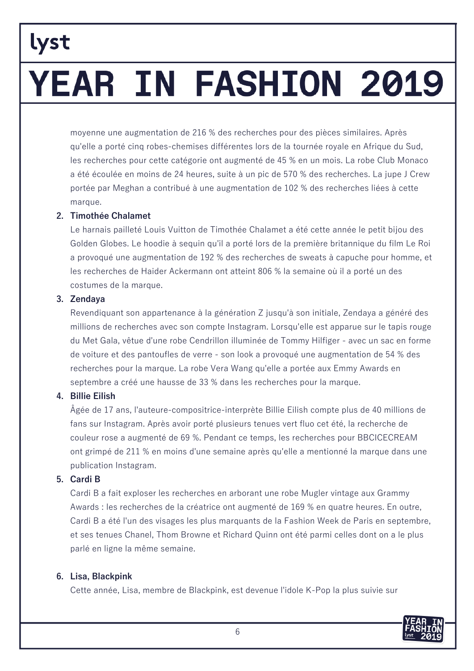# YEAR IN FASHION 2019

moyenne une augmentation de 216 % des recherches pour des pièces similaires. Après gu'elle a porté cing robes-chemises différentes lors de la tournée royale en Afrique du Sud, les recherches pour cette catégorie ont augmenté de 45 % en un mois. La robe Club Monaco a été écoulée en moins de 24 heures, suite à un pic de 570 % des recherches. La jupe J Crew portée par Meghan a contribué à une augmentation de 102 % des recherches liées à cette marque.

#### 2. Timothée Chalamet

Le harnais pailleté Louis Vuitton de Timothée Chalamet a été cette année le petit bijou des Golden Globes. Le hoodie à seguin qu'il a porté lors de la première britannique du film Le Roi a provoqué une augmentation de 192 % des recherches de sweats à capuche pour homme, et les recherches de Haider Ackermann ont atteint 806 % la semaine où il a porté un des costumes de la marque.

#### 3. Zendaya

lyst

Revendiquant son appartenance à la génération Z jusqu'à son initiale, Zendaya a généré des millions de recherches avec son compte Instagram. Lorsqu'elle est apparue sur le tapis rouge du Met Gala, vêtue d'une robe Cendrillon illuminée de Tommy Hilfiger - avec un sac en forme de voiture et des pantoufles de verre - son look a provoqué une augmentation de 54 % des recherches pour la marque. La robe Vera Wang qu'elle a portée aux Emmy Awards en septembre a créé une hausse de 33 % dans les recherches pour la marque.

#### 4. Billie Eilish

Âgée de 17 ans, l'auteure-compositrice-interprète Billie Eilish compte plus de 40 millions de fans sur Instagram. Après avoir porté plusieurs tenues vert fluo cet été, la recherche de couleur rose a augmenté de 69 %. Pendant ce temps, les recherches pour BBCICECREAM ont grimpé de 211 % en moins d'une semaine après qu'elle a mentionné la marque dans une publication Instagram.

#### 5. Cardi B

Cardi B a fait exploser les recherches en arborant une robe Mugler vintage aux Grammy Awards : les recherches de la créatrice ont augmenté de 169 % en quatre heures. En outre, Cardi B a été l'un des visages les plus marquants de la Fashion Week de Paris en septembre, et ses tenues Chanel, Thom Browne et Richard Quinn ont été parmi celles dont on a le plus parlé en ligne la même semaine.

#### 6. Lisa, Blackpink

Cette année, Lisa, membre de Blackpink, est devenue l'idole K-Pop la plus suivie sur

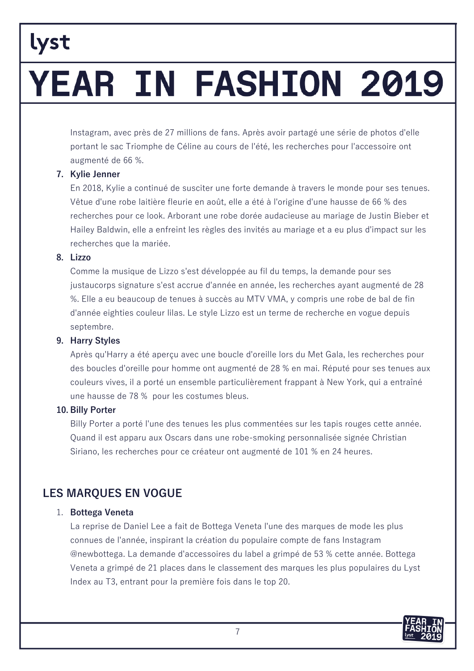# YEAR IN FASHION 2019

Instagram, avec près de 27 millions de fans. Après avoir partagé une série de photos d'elle portant le sac Triomphe de Céline au cours de l'été, les recherches pour l'accessoire ont augmenté de 66 %.

#### 7. Kylie Jenner

En 2018, Kylie a continué de susciter une forte demande à travers le monde pour ses tenues. Vêtue d'une robe laitière fleurie en août, elle a été à l'origine d'une hausse de 66 % des recherches pour ce look. Arborant une robe dorée audacieuse au mariage de Justin Bieber et Hailey Baldwin, elle a enfreint les règles des invités au mariage et a eu plus d'impact sur les recherches que la mariée.

#### 8. Lizzo

Comme la musique de Lizzo s'est développée au fil du temps, la demande pour ses justaucorps signature s'est accrue d'année en année, les recherches ayant augmenté de 28 %. Elle a eu beaucoup de tenues à succès au MTV VMA, y compris une robe de bal de fin d'année eighties couleur lilas. Le style Lizzo est un terme de recherche en vogue depuis septembre.

#### 9. Harry Styles

Après qu'Harry a été aperçu avec une boucle d'oreille lors du Met Gala, les recherches pour des boucles d'oreille pour homme ont augmenté de 28 % en mai. Réputé pour ses tenues aux couleurs vives, il a porté un ensemble particulièrement frappant à New York, qui a entraîné une hausse de 78 % pour les costumes bleus.

#### 10. Billy Porter

Billy Porter a porté l'une des tenues les plus commentées sur les tapis rouges cette année. Quand il est apparu aux Oscars dans une robe-smoking personnalisée signée Christian Siriano, les recherches pour ce créateur ont augmenté de 101 % en 24 heures.

### **LES MARQUES EN VOGUE**

#### 1. Bottega Veneta

La reprise de Daniel Lee a fait de Bottega Veneta l'une des marques de mode les plus connues de l'année, inspirant la création du populaire compte de fans Instagram @newbottega. La demande d'accessoires du label a grimpé de 53 % cette année. Bottega Veneta a grimpé de 21 places dans le classement des marques les plus populaires du Lyst Index au T3, entrant pour la première fois dans le top 20.

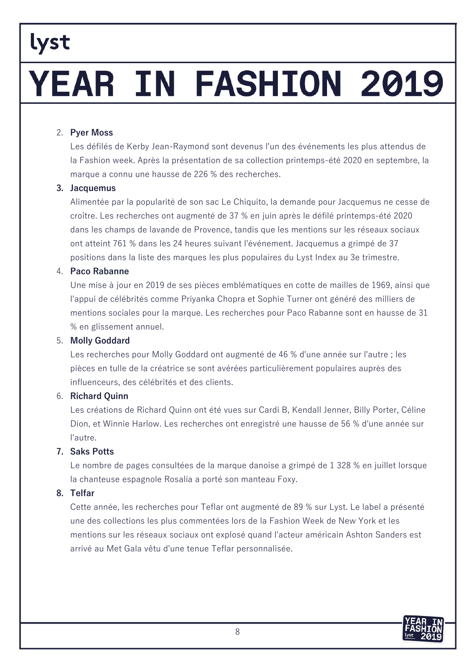# YEAR IN FASHION 2019

#### 2. Pyer Moss

Les défilés de Kerby Jean-Raymond sont devenus l'un des événements les plus attendus de la Fashion week. Après la présentation de sa collection printemps-été 2020 en septembre, la marque a connu une hausse de 226 % des recherches.

#### 3. Jacquemus

Alimentée par la popularité de son sac Le Chiquito, la demande pour Jacquemus ne cesse de croître. Les recherches ont augmenté de 37 % en juin après le défilé printemps-été 2020 dans les champs de lavande de Provence, tandis que les mentions sur les réseaux sociaux ont atteint 761 % dans les 24 heures suivant l'événement. Jacquemus a grimpé de 37 positions dans la liste des marques les plus populaires du Lyst Index au 3e trimestre.

#### 4. Paco Rabanne

Une mise à jour en 2019 de ses pièces emblématiques en cotte de mailles de 1969, ainsi que l'appui de célébrités comme Priyanka Chopra et Sophie Turner ont généré des milliers de mentions sociales pour la marque. Les recherches pour Paco Rabanne sont en hausse de 31 % en glissement annuel.

#### 5. Molly Goddard

Les recherches pour Molly Goddard ont augmenté de 46 % d'une année sur l'autre ; les pièces en tulle de la créatrice se sont avérées particulièrement populaires auprès des influenceurs, des célébrités et des clients.

#### 6. Richard Quinn

Les créations de Richard Quinn ont été vues sur Cardi B, Kendall Jenner, Billy Porter, Céline Dion, et Winnie Harlow. Les recherches ont enregistré une hausse de 56 % d'une année sur l'autre.

#### 7. Saks Potts

Le nombre de pages consultées de la marque danoise a grimpé de 1 328 % en juillet lorsque la chanteuse espagnole Rosalía a porté son manteau Foxy.

#### 8. Telfar

Cette année, les recherches pour Teflar ont augmenté de 89 % sur Lyst. Le label a présenté une des collections les plus commentées lors de la Fashion Week de New York et les mentions sur les réseaux sociaux ont explosé quand l'acteur américain Ashton Sanders est arrivé au Met Gala vêtu d'une tenue Teflar personnalisée.

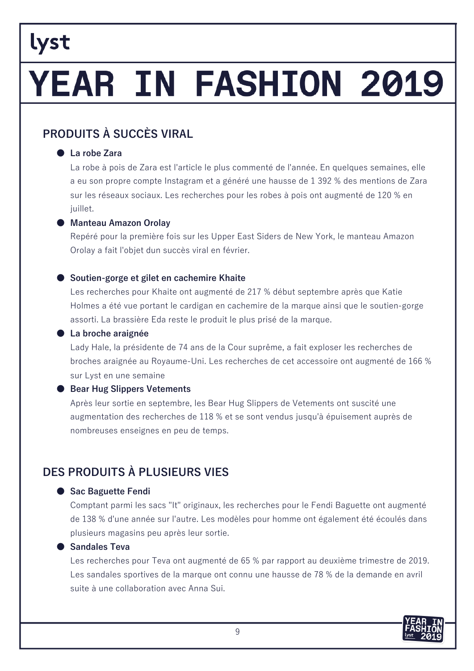# YEAR IN FASHION 2019

### PRODUITS À SUCCÈS VIRAI

#### • La robe Zara

La robe à pois de Zara est l'article le plus commenté de l'année. En quelques semaines, elle a eu son propre compte Instagram et a généré une hausse de 1 392 % des mentions de Zara sur les réseaux sociaux. Les recherches pour les robes à pois ont augmenté de 120 % en juillet.

#### ● Manteau Amazon Orolay

Repéré pour la première fois sur les Upper East Siders de New York, le manteau Amazon Orolay a fait l'obiet dun succès viral en février.

#### Soutien-gorge et gilet en cachemire Khaite

Les recherches pour Khaite ont augmenté de 217 % début septembre après que Katie Holmes a été vue portant le cardigan en cachemire de la marque ainsi que le soutien-gorge assorti. La brassière Eda reste le produit le plus prisé de la marque.

#### ● La broche araignée

Lady Hale, la présidente de 74 ans de la Cour suprême, a fait exploser les recherches de broches araignée au Royaume-Uni. Les recherches de cet accessoire ont augmenté de 166 % sur Lyst en une semaine

#### ● Bear Hug Slippers Vetements

Après leur sortie en septembre, les Bear Hug Slippers de Vetements ont suscité une augmentation des recherches de 118 % et se sont vendus jusqu'à épuisement auprès de nombreuses enseignes en peu de temps.

### DES PRODUITS À PI USIFURS VIES

#### Sac Baguette Fendi

Comptant parmi les sacs "It" originaux, les recherches pour le Fendi Baguette ont augmenté de 138 % d'une année sur l'autre. Les modèles pour homme ont également été écoulés dans plusieurs magasins peu après leur sortie.

#### Sandales Teva

Les recherches pour Teva ont augmenté de 65 % par rapport au deuxième trimestre de 2019. Les sandales sportives de la marque ont connu une hausse de 78 % de la demande en avril suite à une collaboration avec Anna Sui.

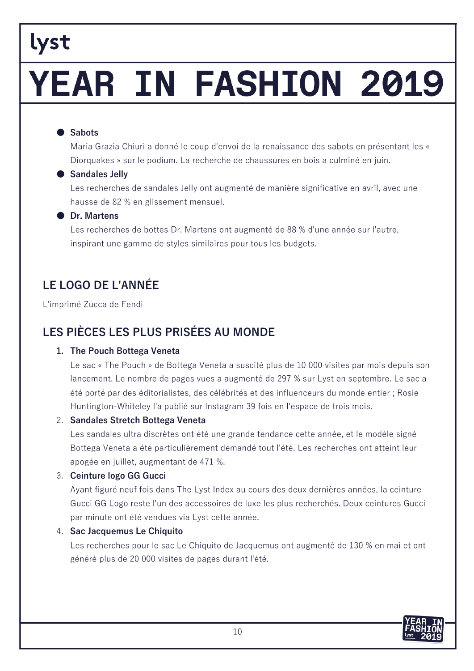# YEAR IN FASHION 2019

#### ● Sabots

Maria Grazia Chiuri a donné le coup d'envoi de la renaissance des sabots en présentant les « Diorquakes » sur le podium. La recherche de chaussures en bois a culminé en juin.

#### ● Sandales Jelly

Les recherches de sandales Jelly ont augmenté de manière significative en avril, avec une hausse de 82 % en glissement mensuel.

#### **O** Dr. Martens

Les recherches de bottes Dr. Martens ont augmenté de 88 % d'une année sur l'autre, inspirant une gamme de styles similaires pour tous les budgets.

### LE LOGO DE L'ANNÉE

L'imprimé Zucca de Fendi

### LES PIÈCES LES PLUS PRISÉES AU MONDE

#### 1. The Pouch Bottega Veneta

Le sac « The Pouch » de Bottega Veneta a suscité plus de 10 000 visites par mois depuis son lancement. Le nombre de pages vues a augmenté de 297 % sur Lyst en septembre. Le sac a été porté par des éditorialistes, des célébrités et des influenceurs du monde entier ; Rosie Huntington-Whiteley l'a publié sur Instagram 39 fois en l'espace de trois mois.

#### 2. Sandales Stretch Bottega Veneta

Les sandales ultra discrètes ont été une grande tendance cette année, et le modèle signé Bottega Veneta a été particulièrement demandé tout l'été. Les recherches ont atteint leur apogée en juillet, augmentant de 471 %.

#### 3. Ceinture logo GG Gucci

Ayant figuré neuf fois dans The Lyst Index au cours des deux dernières années, la ceinture Gucci GG Logo reste l'un des accessoires de luxe les plus recherchés. Deux ceintures Gucci par minute ont été vendues via Lyst cette année.

#### 4. Sac Jacquemus Le Chiquito

Les recherches pour le sac Le Chiquito de Jacquemus ont augmenté de 130 % en mai et ont généré plus de 20 000 visites de pages durant l'été.

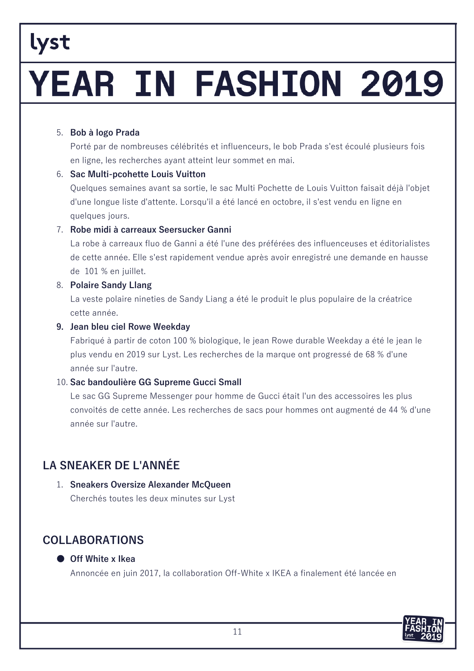# YEAR IN FASHION 2019

#### 5. Bob à logo Prada

Porté par de nombreuses célébrités et influenceurs, le bob Prada s'est écoulé plusieurs fois en ligne, les recherches ayant atteint leur sommet en mai.

#### 6. Sac Multi-pcohette Louis Vuitton

Quelques semaines avant sa sortie, le sac Multi Pochette de Louis Vuitton faisait déjà l'objet d'une longue liste d'attente. Lorsqu'il a été lancé en octobre, il s'est vendu en ligne en quelques jours.

#### 7. Robe midi à carreaux Seersucker Ganni

La robe à carreaux fluo de Ganni a été l'une des préférées des influenceuses et éditorialistes de cette année. Elle s'est rapidement vendue après avoir enregistré une demande en hausse de 101 % en juillet.

#### 8. Polaire Sandy Llang

La veste polaire nineties de Sandy Liang a été le produit le plus populaire de la créatrice cette année.

#### 9. Jean bleu ciel Rowe Weekday

Fabriqué à partir de coton 100 % biologique, le jean Rowe durable Weekday a été le jean le plus vendu en 2019 sur Lyst. Les recherches de la marque ont progressé de 68 % d'une année sur l'autre.

#### 10. Sac bandoulière GG Supreme Gucci Small

Le sac GG Supreme Messenger pour homme de Gucci était l'un des accessoires les plus convoités de cette année. Les recherches de sacs pour hommes ont augmenté de 44 % d'une année sur l'autre.

### **LA SNEAKER DE L'ANNÉE**

#### 1. Sneakers Oversize Alexander McQueen

Cherchés toutes les deux minutes sur Lyst

### **COLLABORATIONS**

#### ● Off White x Ikea

Annoncée en juin 2017, la collaboration Off-White x IKEA a finalement été lancée en

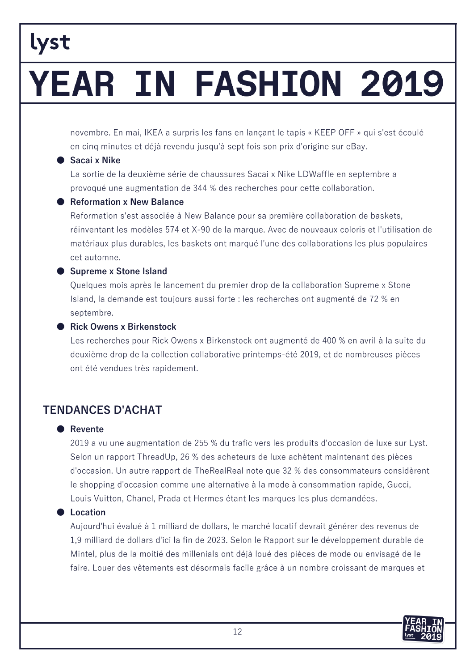# YEAR IN FASHION 2019

novembre. En mai, IKEA a surpris les fans en lançant le tapis « KEEP OFF » qui s'est écoulé en cinq minutes et déjà revendu jusqu'à sept fois son prix d'origine sur eBay.

#### Sacai x Nike

La sortie de la deuxième série de chaussures Sacai x Nike LDWaffle en septembre a provoqué une augmentation de 344 % des recherches pour cette collaboration.

#### Reformation x New Balance

Reformation s'est associée à New Balance pour sa première collaboration de baskets, réinventant les modèles 574 et X-90 de la marque. Avec de nouveaux coloris et l'utilisation de matériaux plus durables, les baskets ont marqué l'une des collaborations les plus populaires cet automne.

#### Supreme x Stone Island

Quelques mois après le lancement du premier drop de la collaboration Supreme x Stone Island, la demande est toujours aussi forte : les recherches ont augmenté de 72 % en septembre.

#### Rick Owens x Birkenstock

Les recherches pour Rick Owens x Birkenstock ont augmenté de 400 % en avril à la suite du deuxième drop de la collection collaborative printemps-été 2019, et de nombreuses pièces ont été vendues très rapidement.

### **TENDANCES D'ACHAT**

#### **•** Revente

2019 a vu une augmentation de 255 % du trafic vers les produits d'occasion de luxe sur Lyst. Selon un rapport ThreadUp, 26 % des acheteurs de luxe achètent maintenant des pièces d'occasion. Un autre rapport de TheRealReal note que 32 % des consommateurs considèrent le shopping d'occasion comme une alternative à la mode à consommation rapide, Gucci, Louis Vuitton, Chanel, Prada et Hermes étant les marques les plus demandées.

#### **C** Location

Aujourd'hui évalué à 1 milliard de dollars, le marché locatif devrait générer des revenus de 1.9 milliard de dollars d'ici la fin de 2023. Selon le Rapport sur le développement durable de Mintel, plus de la moitié des millenials ont déià loué des pièces de mode ou envisagé de le faire. Louer des vêtements est désormais facile grâce à un nombre croissant de marques et

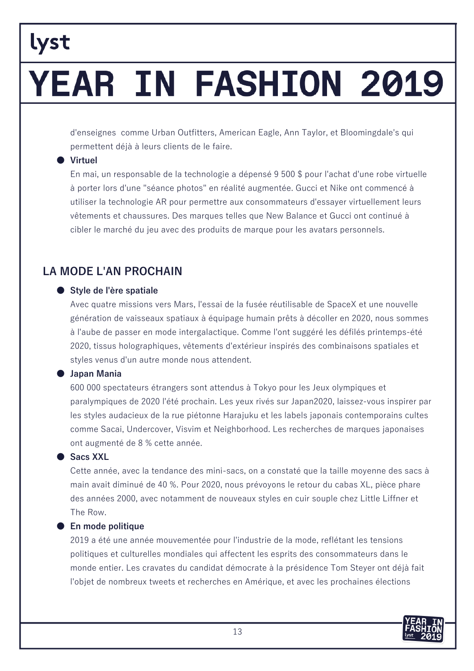# YEAR IN FASHION 2019

d'enseignes comme Urban Outfitters, American Eagle, Ann Taylor, et Bloomingdale's qui permettent déjà à leurs clients de le faire.

#### **Virtuel**

En mai, un responsable de la technologie a dépensé 9 500 \$ pour l'achat d'une robe virtuelle à porter lors d'une "séance photos" en réalité augmentée. Gucci et Nike ont commencé à utiliser la technologie AR pour permettre aux consommateurs d'essayer virtuellement leurs vêtements et chaussures. Des marques telles que New Balance et Gucci ont continué à cibler le marché du jeu avec des produits de marque pour les avatars personnels.

### **LA MODE L'AN PROCHAIN**

#### Style de l'ère spatiale

Avec quatre missions vers Mars, l'essai de la fusée réutilisable de SpaceX et une nouvelle génération de vaisseaux spatiaux à équipage humain prêts à décoller en 2020, nous sommes à l'aube de passer en mode intergalactique. Comme l'ont suggéré les défilés printemps-été 2020, tissus holographiques, vêtements d'extérieur inspirés des combinaisons spatiales et styles venus d'un autre monde nous attendent.

#### **Japan Mania**

600 000 spectateurs étrangers sont attendus à Tokyo pour les Jeux olympiques et paralympiques de 2020 l'été prochain. Les yeux rivés sur Japan2020, laissez-vous inspirer par les styles audacieux de la rue piétonne Harajuku et les labels japonais contemporains cultes comme Sacai, Undercover, Visvim et Neighborhood. Les recherches de marques japonaises ont augmenté de 8 % cette année.

#### ● Sacs XXL

Cette année, avec la tendance des mini-sacs, on a constaté que la taille moyenne des sacs à main avait diminué de 40 %. Pour 2020, nous prévoyons le retour du cabas XL, pièce phare des années 2000, avec notamment de nouveaux styles en cuir souple chez Little Liffner et The Row.

#### ● En mode politique

2019 a été une année mouvementée pour l'industrie de la mode, reflétant les tensions politiques et culturelles mondiales qui affectent les esprits des consommateurs dans le monde entier. Les cravates du candidat démocrate à la présidence Tom Stever ont déjà fait l'objet de nombreux tweets et recherches en Amérique, et avec les prochaines élections